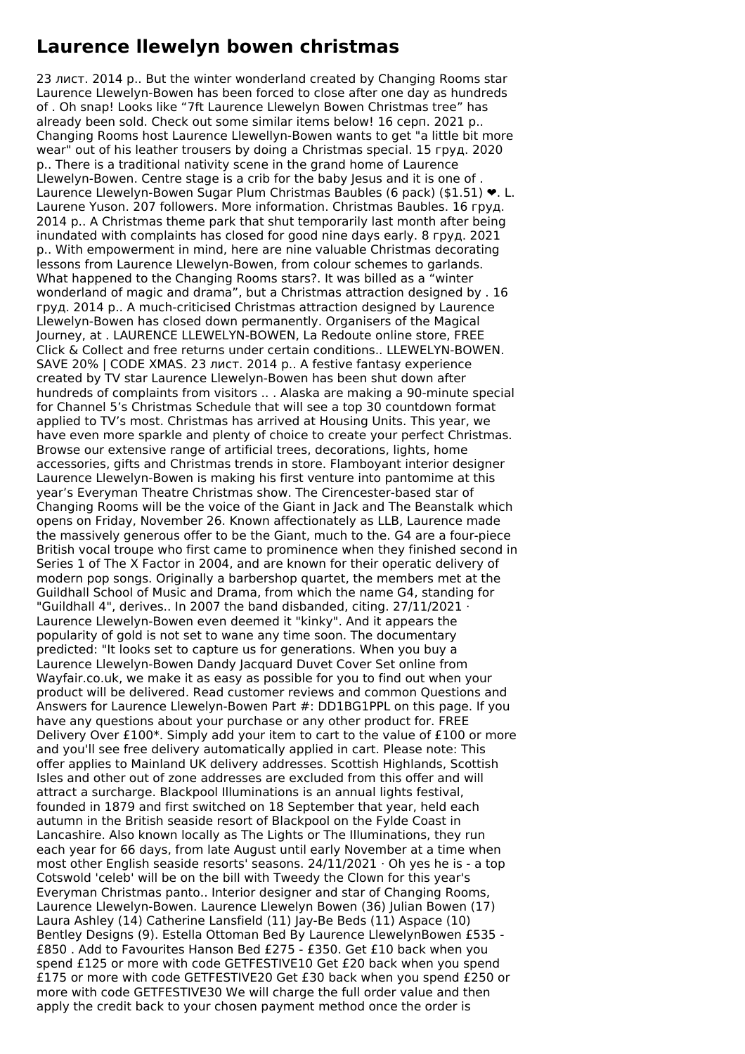## **Laurence llewelyn bowen christmas**

23 лист. 2014 р.. But the winter wonderland created by Changing Rooms star Laurence Llewelyn-Bowen has been forced to close after one day as hundreds of . Oh snap! Looks like "7ft Laurence Llewelyn Bowen Christmas tree" has already been sold. Check out some similar items below! 16 серп. 2021 р.. Changing Rooms host Laurence Llewellyn-Bowen wants to get "a little bit more wear" out of his leather trousers by doing a Christmas special. 15 груд. 2020 р.. There is a traditional nativity scene in the grand home of Laurence Llewelyn-Bowen. Centre stage is a crib for the baby Jesus and it is one of. Laurence Llewelyn-Bowen Sugar Plum Christmas Baubles (6 pack) (\$1.51) ❤. L. Laurene Yuson. 207 followers. More information. Christmas Baubles. 16 груд. 2014 p.. A Christmas theme park that shut temporarily last month after being inundated with complaints has closed for good nine days early. 8 груд. 2021 р.. With empowerment in mind, here are nine valuable Christmas decorating lessons from Laurence Llewelyn-Bowen, from colour schemes to garlands. What happened to the Changing Rooms stars?. It was billed as a "winter wonderland of magic and drama", but a Christmas attraction designed by . 16 груд. 2014 р.. A much-criticised Christmas attraction designed by Laurence Llewelyn-Bowen has closed down permanently. Organisers of the Magical Journey, at . LAURENCE LLEWELYN-BOWEN, La Redoute online store, FREE Click & Collect and free returns under certain conditions.. LLEWELYN-BOWEN. SAVE 20% | CODE XMAS. 23 лист. 2014 р.. A festive fantasy experience created by TV star Laurence Llewelyn-Bowen has been shut down after hundreds of complaints from visitors .. . Alaska are making a 90-minute special for Channel 5's Christmas Schedule that will see a top 30 countdown format applied to TV's most. Christmas has arrived at Housing Units. This year, we have even more sparkle and plenty of choice to create your perfect Christmas. Browse our extensive range of artificial trees, decorations, lights, home accessories, gifts and Christmas trends in store. Flamboyant interior designer Laurence Llewelyn-Bowen is making his first venture into pantomime at this year's Everyman Theatre Christmas show. The Cirencester-based star of Changing Rooms will be the voice of the Giant in Jack and The Beanstalk which opens on Friday, November 26. Known affectionately as LLB, Laurence made the massively generous offer to be the Giant, much to the. G4 are a four-piece British vocal troupe who first came to prominence when they finished second in Series 1 of The X Factor in 2004, and are known for their operatic delivery of modern pop songs. Originally a barbershop quartet, the members met at the Guildhall School of Music and Drama, from which the name G4, standing for "Guildhall 4", derives.. In 2007 the band disbanded, citing. 27/11/2021 · Laurence Llewelyn-Bowen even deemed it "kinky". And it appears the popularity of gold is not set to wane any time soon. The documentary predicted: "It looks set to capture us for generations. When you buy a Laurence Llewelyn-Bowen Dandy Jacquard Duvet Cover Set online from Wayfair.co.uk, we make it as easy as possible for you to find out when your product will be delivered. Read customer reviews and common Questions and Answers for Laurence Llewelyn-Bowen Part #: DD1BG1PPL on this page. If you have any questions about your purchase or any other product for. FREE Delivery Over £100\*. Simply add your item to cart to the value of £100 or more and you'll see free delivery automatically applied in cart. Please note: This offer applies to Mainland UK delivery addresses. Scottish Highlands, Scottish Isles and other out of zone addresses are excluded from this offer and will attract a surcharge. Blackpool Illuminations is an annual lights festival, founded in 1879 and first switched on 18 September that year, held each autumn in the British seaside resort of Blackpool on the Fylde Coast in Lancashire. Also known locally as The Lights or The Illuminations, they run each year for 66 days, from late August until early November at a time when most other English seaside resorts' seasons.  $24/11/2021 \cdot$  Oh yes he is - a top Cotswold 'celeb' will be on the bill with Tweedy the Clown for this year's Everyman Christmas panto.. Interior designer and star of Changing Rooms, Laurence Llewelyn-Bowen. Laurence Llewelyn Bowen (36) Julian Bowen (17) Laura Ashley (14) Catherine Lansfield (11) Jay-Be Beds (11) Aspace (10) Bentley Designs (9). Estella Ottoman Bed By Laurence LlewelynBowen £535 - £850 . Add to Favourites Hanson Bed £275 - £350. Get £10 back when you spend £125 or more with code GETFESTIVE10 Get £20 back when you spend £175 or more with code GETFESTIVE20 Get £30 back when you spend £250 or more with code GETFESTIVE30 We will charge the full order value and then apply the credit back to your chosen payment method once the order is